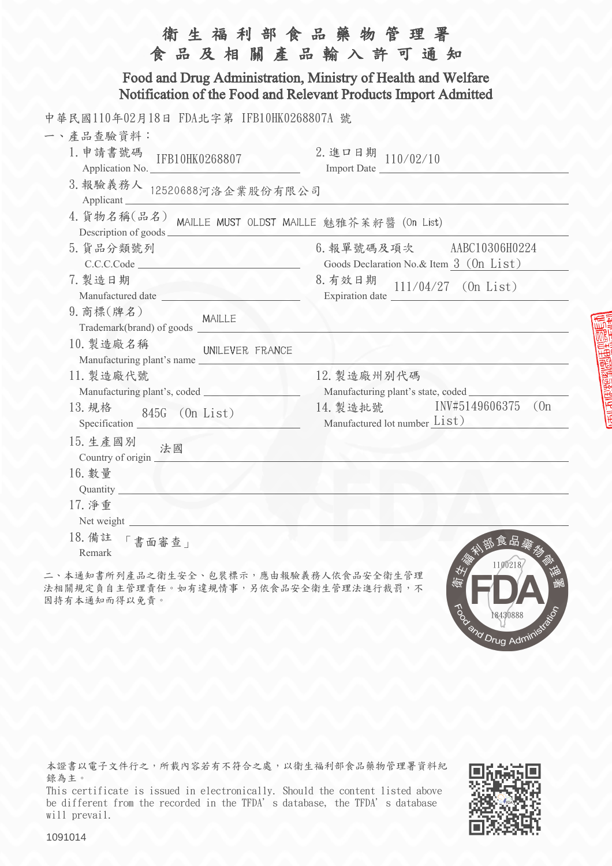| 衛生福利部食品藥物管理署<br>食品及相關產品輸入許可通知                                                                                                  |                                                                      |  |
|--------------------------------------------------------------------------------------------------------------------------------|----------------------------------------------------------------------|--|
| Food and Drug Administration, Ministry of Health and Welfare<br>Notification of the Food and Relevant Products Import Admitted |                                                                      |  |
| 中華民國110年02月18日 FDA北字第 IFB10HK0268807A 號                                                                                        |                                                                      |  |
| 一、產品查驗資料:                                                                                                                      |                                                                      |  |
| 1. 申請書號碼<br>IFB10HK0268807<br>WAV<br>Application No.                                                                           | $2.$ 進口日期 110/02/10<br>Import Date                                   |  |
| 3. 報驗義務人 12520688河洛企業股份有限公司<br>Applicant                                                                                       |                                                                      |  |
| 4. 貨物名稱(品名) MAILLE MUST OLDST MAILLE 魅雅芥茉籽醬 (On List)<br>Description of goods                                                  |                                                                      |  |
| 5. 貨品分類號列<br>C.C.C.Code                                                                                                        | 6. 報單號碼及項次 AABC10306H0224<br>Goods Declaration No.& Item 3 (0n List) |  |
| 7. 製造日期                                                                                                                        | 8. 有效日期<br>$111/04/27$ (On List)                                     |  |
| 9. 商標(牌名)<br>MAILLE<br>Trademark(brand) of goods                                                                               |                                                                      |  |
| 10. 製造廠名稱<br>UNILEVER FRANCE<br>Manufacturing plant's name                                                                     |                                                                      |  |
| 11. 製造廠代號                                                                                                                      | 12. 製造廠州別代碼                                                          |  |
|                                                                                                                                | Manufacturing plant's state, coded                                   |  |
| 13. 規格<br>845G (On List)<br>Specification                                                                                      | INV#5149606375<br>(0n)<br>14. 製造批號<br>Manufactured lot number List)  |  |
| 15. 生產國別<br>法國<br>Country of origin $\Box$                                                                                     |                                                                      |  |
| 16. 數量<br>Quantity                                                                                                             |                                                                      |  |
| 17. 净重<br>Net weight                                                                                                           |                                                                      |  |
| 18. 備註<br>書面審查」<br>Remark                                                                                                      | 部食品藥物<br>1100218                                                     |  |

二、本通知書所列產品之衛生安全、包裝標示,應由報驗義務人依食品安全衛生管理 法相關規定負自主管理責任。如有違規情事,另依食品安全衛生管理法進行裁罰,不 因持有本通知而得以免責。

本證書以電子文件行之,所載內容若有不符合之處,以衛生福利部食品藥物管理署資料紀 錄為主。

This certificate is issued in electronically. Should the content listed above be different from the recorded in the TFDA's database, the TFDA's database will prevail.

To or Mayou